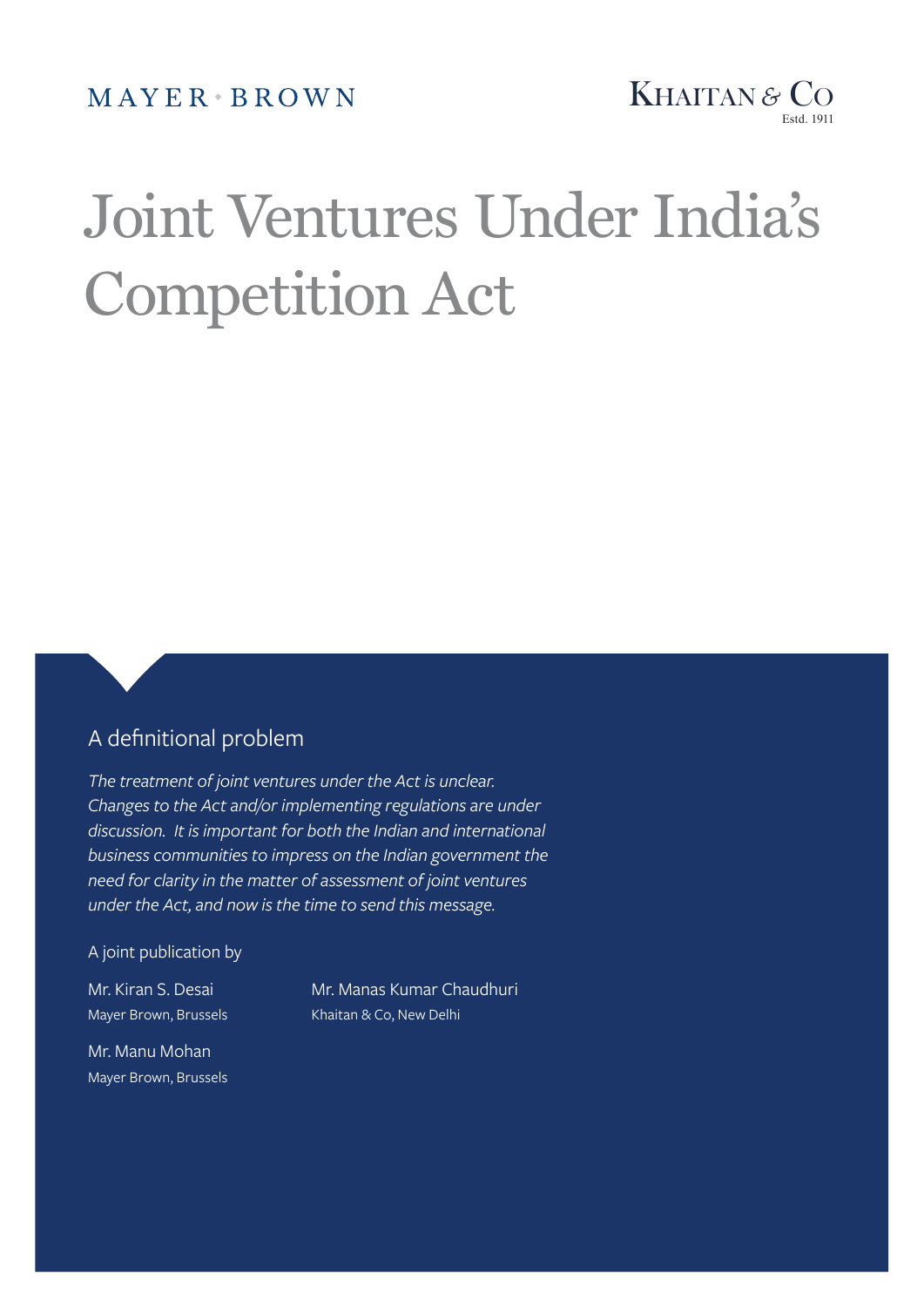MAYER BROWN



# Joint Ventures Under India's Competition Act

# A definitional problem

*The treatment of joint ventures under the Act is unclear. Changes to the Act and/or implementing regulations are under discussion. It is important for both the Indian and international business communities to impress on the Indian government the need for clarity in the matter of assessment of joint ventures under the Act, and now is the time to send this message.*

A joint publication by

Mr. Manu Mohan Mayer Brown, Brussels

Mr. Kiran S. Desai Mr. Manas Kumar Chaudhuri Mayer Brown, Brussels Khaitan & Co, New Delhi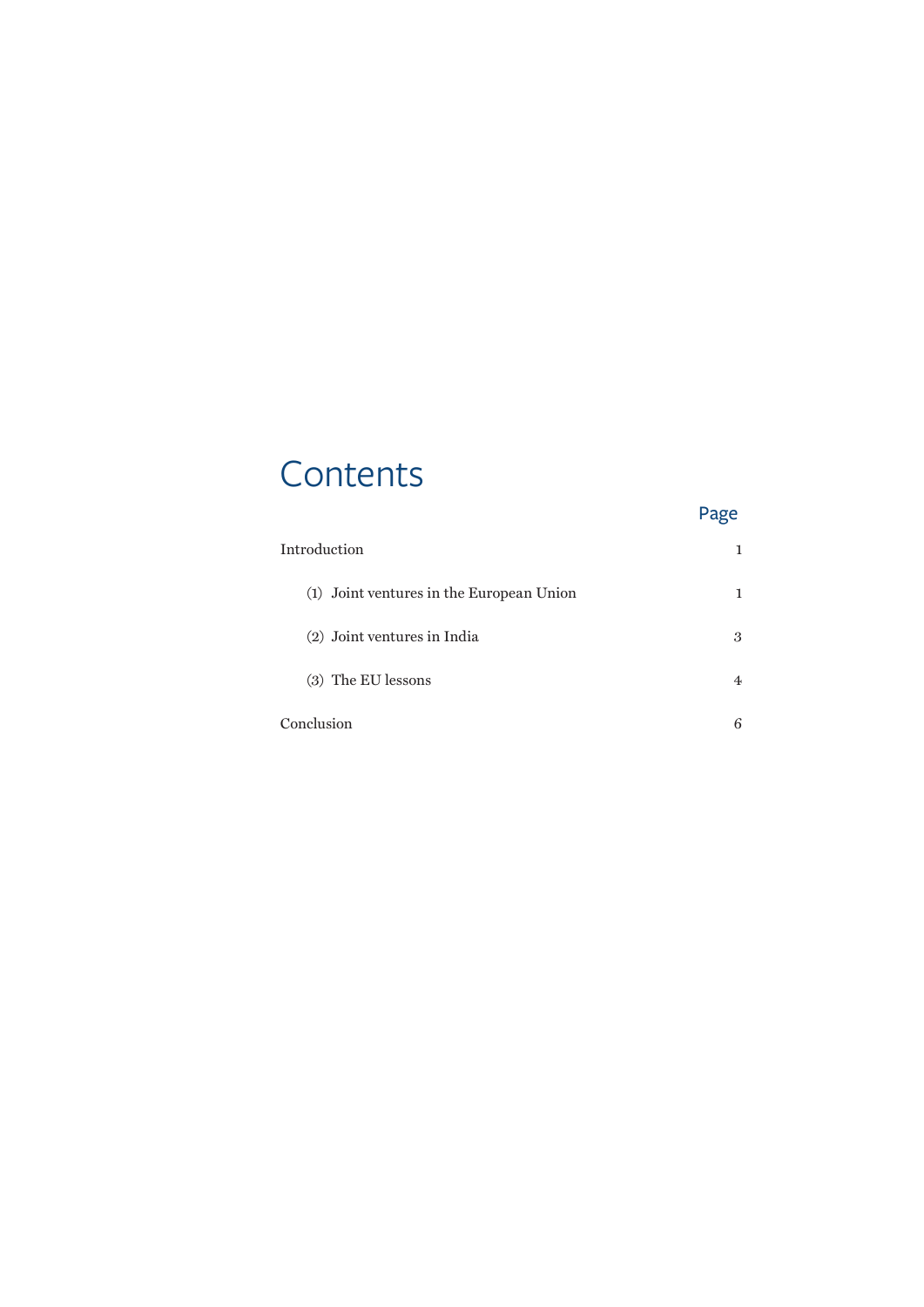# **Contents**

| Introduction                             |   |
|------------------------------------------|---|
| (1) Joint ventures in the European Union |   |
| (2) Joint ventures in India              | 3 |
| (3) The EU lessons                       | 4 |
| Conclusion                               | 6 |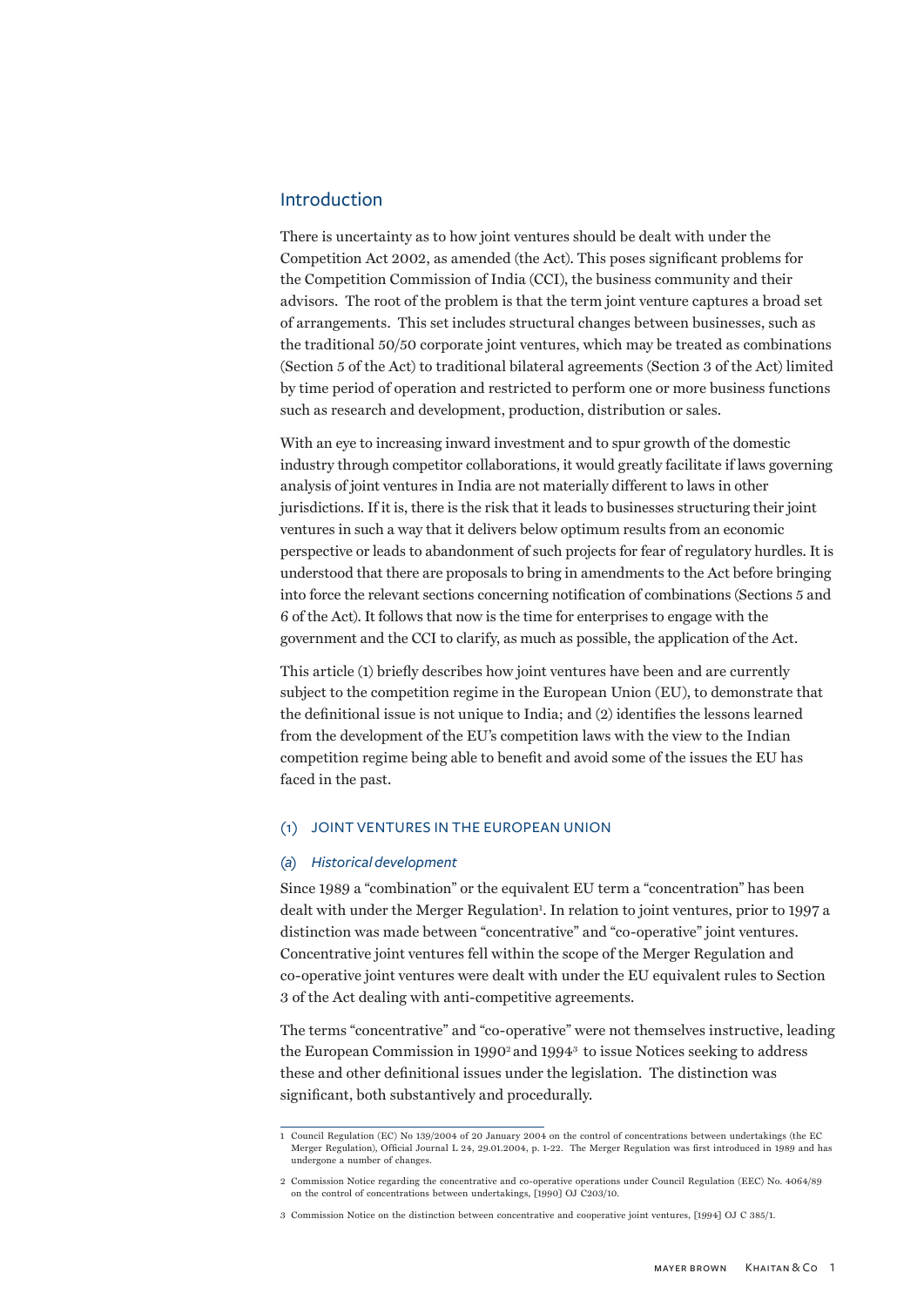#### <span id="page-2-0"></span>Introduction

There is uncertainty as to how joint ventures should be dealt with under the Competition Act 2002, as amended (the Act). This poses significant problems for the Competition Commission of India (CCI), the business community and their advisors. The root of the problem is that the term joint venture captures a broad set of arrangements. This set includes structural changes between businesses, such as the traditional 50/50 corporate joint ventures, which may be treated as combinations (Section 5 of the Act) to traditional bilateral agreements (Section 3 of the Act) limited by time period of operation and restricted to perform one or more business functions such as research and development, production, distribution or sales.

With an eye to increasing inward investment and to spur growth of the domestic industry through competitor collaborations, it would greatly facilitate if laws governing analysis of joint ventures in India are not materially different to laws in other jurisdictions. If it is, there is the risk that it leads to businesses structuring their joint ventures in such a way that it delivers below optimum results from an economic perspective or leads to abandonment of such projects for fear of regulatory hurdles. It is understood that there are proposals to bring in amendments to the Act before bringing into force the relevant sections concerning notification of combinations (Sections 5 and 6 of the Act). It follows that now is the time for enterprises to engage with the government and the CCI to clarify, as much as possible, the application of the Act.

This article (1) briefly describes how joint ventures have been and are currently subject to the competition regime in the European Union (EU), to demonstrate that the definitional issue is not unique to India; and (2) identifies the lessons learned from the development of the EU's competition laws with the view to the Indian competition regime being able to benefit and avoid some of the issues the EU has faced in the past.

#### (1) Joint ventures in the European Union

#### *(a) Historical development*

Since 1989 a "combination" or the equivalent EU term a "concentration" has been dealt with under the Merger Regulation<sup>1</sup>. In relation to joint ventures, prior to 1997 a distinction was made between "concentrative" and "co-operative" joint ventures. Concentrative joint ventures fell within the scope of the Merger Regulation and co-operative joint ventures were dealt with under the EU equivalent rules to Section 3 of the Act dealing with anti-competitive agreements.

The terms "concentrative" and "co-operative" were not themselves instructive, leading the European Commission in 1990<sup>2</sup> and 1994<sup>3</sup> to issue Notices seeking to address these and other definitional issues under the legislation. The distinction was significant, both substantively and procedurally.

<sup>1</sup> Council Regulation (EC) No 139/2004 of 20 January 2004 on the control of concentrations between undertakings (the EC Merger Regulation), Official Journal L 24, 29.01.2004, p. 1-22. The Merger Regulation was first introduced in 1989 and has undergone a number of changes.

<sup>2</sup> Commission Notice regarding the concentrative and co-operative operations under Council Regulation (EEC) No. 4064/89 on the control of concentrations between undertakings, [1990] OJ C203/10.

<sup>3</sup> Commission Notice on the distinction between concentrative and cooperative joint ventures, [1994] OJ C 385/1.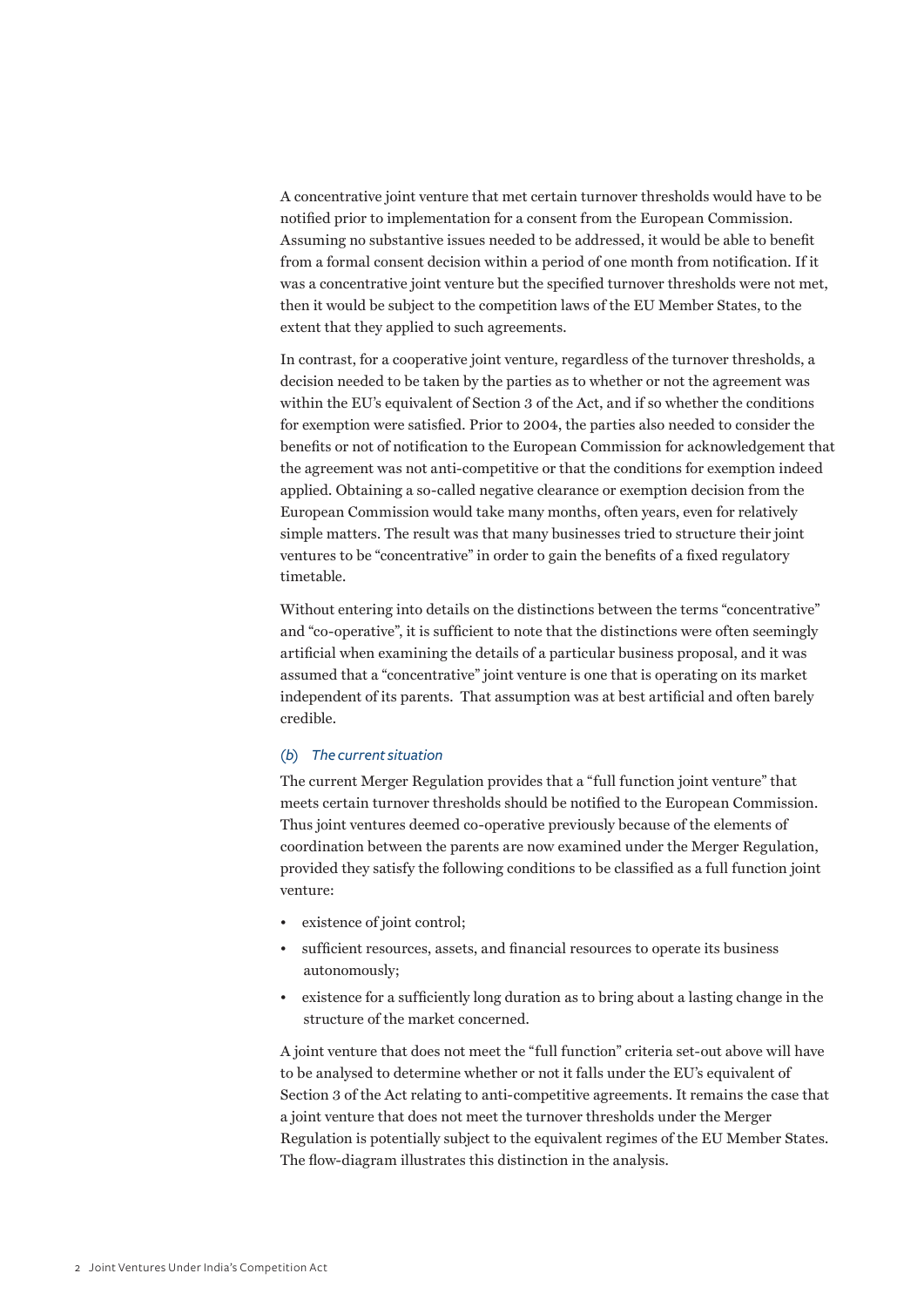A concentrative joint venture that met certain turnover thresholds would have to be notified prior to implementation for a consent from the European Commission. Assuming no substantive issues needed to be addressed, it would be able to benefit from a formal consent decision within a period of one month from notification. If it was a concentrative joint venture but the specified turnover thresholds were not met, then it would be subject to the competition laws of the EU Member States, to the extent that they applied to such agreements.

In contrast, for a cooperative joint venture, regardless of the turnover thresholds, a decision needed to be taken by the parties as to whether or not the agreement was within the EU's equivalent of Section 3 of the Act, and if so whether the conditions for exemption were satisfied. Prior to 2004, the parties also needed to consider the benefits or not of notification to the European Commission for acknowledgement that the agreement was not anti-competitive or that the conditions for exemption indeed applied. Obtaining a so-called negative clearance or exemption decision from the European Commission would take many months, often years, even for relatively simple matters. The result was that many businesses tried to structure their joint ventures to be "concentrative" in order to gain the benefits of a fixed regulatory timetable.

Without entering into details on the distinctions between the terms "concentrative" and "co-operative", it is sufficient to note that the distinctions were often seemingly artificial when examining the details of a particular business proposal, and it was assumed that a "concentrative" joint venture is one that is operating on its market independent of its parents. That assumption was at best artificial and often barely credible.

#### *(b) The current situation*

The current Merger Regulation provides that a "full function joint venture" that meets certain turnover thresholds should be notified to the European Commission. Thus joint ventures deemed co-operative previously because of the elements of coordination between the parents are now examined under the Merger Regulation, provided they satisfy the following conditions to be classified as a full function joint venture:

- existence of joint control;
- sufficient resources, assets, and financial resources to operate its business autonomously;
- existence for a sufficiently long duration as to bring about a lasting change in the structure of the market concerned.

A joint venture that does not meet the "full function" criteria set-out above will have to be analysed to determine whether or not it falls under the EU's equivalent of Section 3 of the Act relating to anti-competitive agreements. It remains the case that a joint venture that does not meet the turnover thresholds under the Merger Regulation is potentially subject to the equivalent regimes of the EU Member States. The flow-diagram illustrates this distinction in the analysis.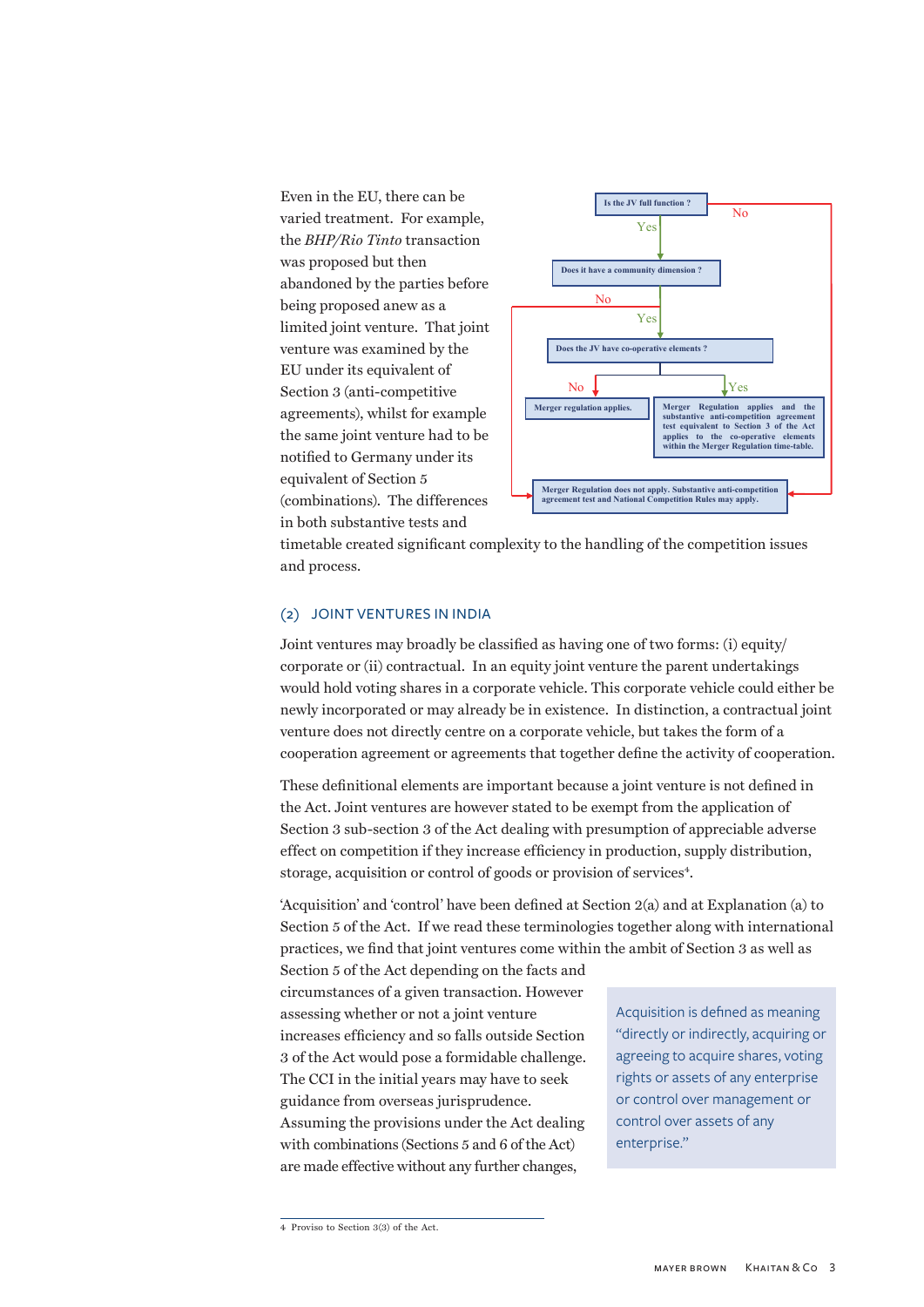<span id="page-4-0"></span>Even in the EU, there can be Even in the EU, there can be varied treatment. For example, varied treatment. For example, the *BHP/Rio Tinto* transaction the *BHP/Rio Tinto* transaction was proposed but then abandoned by the parties before being proposed anew as a limited joint venture. That joint venture was examined by the EU under its equivalent of Section 3 (anti-competitive agreements), whilst for example differences, while the cadingle notified to Germany under its notified to defining and the competition (combinations). The differences in both substantive tests and  $\alpha$  is a proposed but the transaction led by the parties before. onit venture. That joint  $\pi$  no equivalent of e joint venture had to be nt of Section 5



timetable created significant complexity to the handling of the competition issues and process.  $\mathcal{S}$  as having one of two forms: (i) equity/corporate or two forms: (i) equity/corporate or two forms: (i) equity/corporate or two forms: (i) equity/corporate or two forms: (ii) equity/corporate or two forms: (iii) eq

#### (2) JOINT VENTURES IN INDIA

Joint ventures may broadly be classified as having one of two forms: (i) equity/ corporate or (ii) contractual. In an equity joint venture the parent undertakings would hold voting shares in a corporate vehicle. This corporate vehicle could either be newly incorporated or may already be in existence. In distinction, a contractual joint venture does not directly centre on a corporate vehicle, but takes the form of a cooperation agreement or agreements that together define the activity of cooperation. 3 of the Act dealing with presumption of a competition of appreciate adverse effect of approximation in the competition in the competition in the competition in the competition in the competition in the competition in the

These definitional elements are important because a joint venture is not defined in the Act. Joint ventures are however stated to be exempt from the application of Section 3 sub-section 3 of the Act dealing with presumption of appreciable adverse effect on competition if they increase efficiency in production, supply distribution, storage, acquisition or control of goods or provision of services<sup>4</sup>. John ventures are nowever stated to be exempt  $\alpha$  competition if they increase efficiency in production, supply distribution,

'Acquisition' and 'control' have been defined at Section  $2(a)$  and at Explanation  $(a)$  to Section 5 of the Act. If we read these terminologies together along with international practices, we find that joint ventures come within the ambit of Section 3 as well as

practices, we find that joint ventures come with<br>Section 5 of the Act depending on the facts and circumstances of a given transaction. However assessing whether or not a joint venture increases efficiency and so falls outside Section 3 of the Act would pose a formidable challenge. The CCI in the initial years may have to seek guidance from overseas jurisprudence. Assuming the provisions under the Act dealing with combinations (Sections 5 and 6 of the Act) are made effective without any further changes,

Acquisition is defined as meaning "directly or indirectly, acquiring or agreeing to acquire shares, voting rights or assets of any enterprise or control over management or control over assets of any enterprise."

<sup>4</sup> Proviso to Section 3(3) of the Act.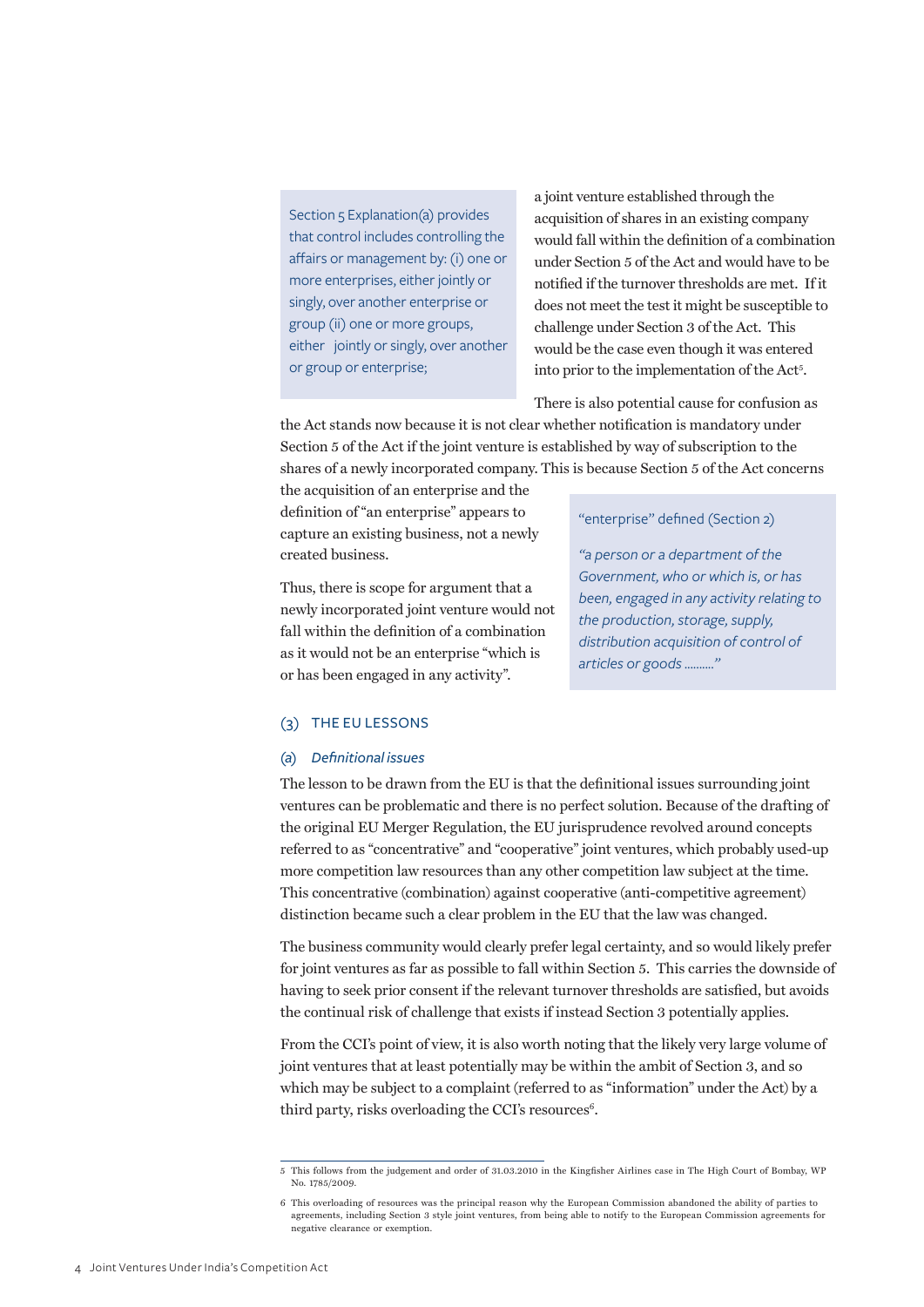<span id="page-5-0"></span>Section 5 Explanation(a) provides that control includes controlling the affairs or management by: (i) one or more enterprises, either jointly or singly, over another enterprise or group (ii) one or more groups, either jointly or singly, over another or group or enterprise;

a joint venture established through the acquisition of shares in an existing company would fall within the definition of a combination under Section 5 of the Act and would have to be notified if the turnover thresholds are met. If it does not meet the test it might be susceptible to challenge under Section 3 of the Act. This would be the case even though it was entered into prior to the implementation of the Act<sup>5</sup>.

There is also potential cause for confusion as

the Act stands now because it is not clear whether notification is mandatory under Section 5 of the Act if the joint venture is established by way of subscription to the shares of a newly incorporated company. This is because Section 5 of the Act concerns

the acquisition of an enterprise and the definition of "an enterprise" appears to capture an existing business, not a newly created business.

Thus, there is scope for argument that a newly incorporated joint venture would not fall within the definition of a combination as it would not be an enterprise "which is or has been engaged in any activity".

#### "enterprise" defined (Section 2)

*"a person or a department of the Government, who or which is, or has been, engaged in any activity relating to the production, storage, supply, distribution acquisition of control of articles or goods .........."*

#### (3) The EU lessons

#### *(a) Definitional issues*

The lesson to be drawn from the EU is that the definitional issues surrounding joint ventures can be problematic and there is no perfect solution. Because of the drafting of the original EU Merger Regulation, the EU jurisprudence revolved around concepts referred to as "concentrative" and "cooperative" joint ventures, which probably used-up more competition law resources than any other competition law subject at the time. This concentrative (combination) against cooperative (anti-competitive agreement) distinction became such a clear problem in the EU that the law was changed.

The business community would clearly prefer legal certainty, and so would likely prefer for joint ventures as far as possible to fall within Section 5. This carries the downside of having to seek prior consent if the relevant turnover thresholds are satisfied, but avoids the continual risk of challenge that exists if instead Section 3 potentially applies.

From the CCI's point of view, it is also worth noting that the likely very large volume of joint ventures that at least potentially may be within the ambit of Section 3, and so which may be subject to a complaint (referred to as "information" under the Act) by a third party, risks overloading the CCI's resources $6$ .

<sup>5</sup> This follows from the judgement and order of 31.03.2010 in the Kingfisher Airlines case in The High Court of Bombay, WP No. 1785/2009.

<sup>6</sup> This overloading of resources was the principal reason why the European Commission abandoned the ability of parties to agreements, including Section 3 style joint ventures, from being able to notify to the European Commission agreements for negative clearance or exemption.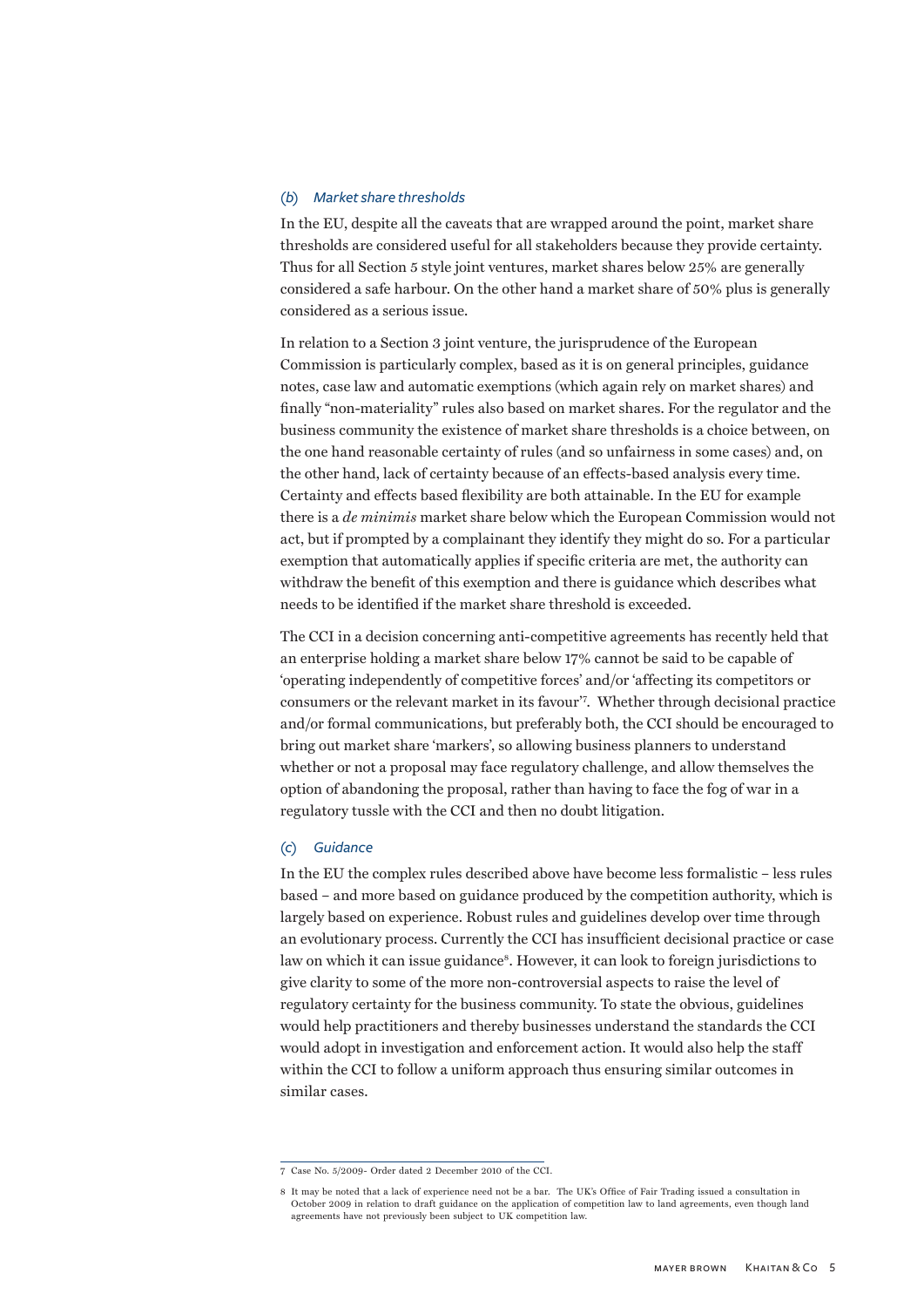#### *(b) Market share thresholds*

In the EU, despite all the caveats that are wrapped around the point, market share thresholds are considered useful for all stakeholders because they provide certainty. Thus for all Section 5 style joint ventures, market shares below 25% are generally considered a safe harbour. On the other hand a market share of 50% plus is generally considered as a serious issue.

In relation to a Section 3 joint venture, the jurisprudence of the European Commission is particularly complex, based as it is on general principles, guidance notes, case law and automatic exemptions (which again rely on market shares) and finally "non-materiality" rules also based on market shares. For the regulator and the business community the existence of market share thresholds is a choice between, on the one hand reasonable certainty of rules (and so unfairness in some cases) and, on the other hand, lack of certainty because of an effects-based analysis every time. Certainty and effects based flexibility are both attainable. In the EU for example there is a *de minimis* market share below which the European Commission would not act, but if prompted by a complainant they identify they might do so. For a particular exemption that automatically applies if specific criteria are met, the authority can withdraw the benefit of this exemption and there is guidance which describes what needs to be identified if the market share threshold is exceeded.

The CCI in a decision concerning anti-competitive agreements has recently held that an enterprise holding a market share below 17% cannot be said to be capable of 'operating independently of competitive forces' and/or 'affecting its competitors or consumers or the relevant market in its favour'<sup>7</sup> . Whether through decisional practice and/or formal communications, but preferably both, the CCI should be encouraged to bring out market share 'markers', so allowing business planners to understand whether or not a proposal may face regulatory challenge, and allow themselves the option of abandoning the proposal, rather than having to face the fog of war in a regulatory tussle with the CCI and then no doubt litigation.

#### *(c) Guidance*

In the EU the complex rules described above have become less formalistic – less rules based – and more based on guidance produced by the competition authority, which is largely based on experience. Robust rules and guidelines develop over time through an evolutionary process. Currently the CCI has insufficient decisional practice or case law on which it can issue guidance<sup>8</sup>. However, it can look to foreign jurisdictions to give clarity to some of the more non-controversial aspects to raise the level of regulatory certainty for the business community. To state the obvious, guidelines would help practitioners and thereby businesses understand the standards the CCI would adopt in investigation and enforcement action. It would also help the staff within the CCI to follow a uniform approach thus ensuring similar outcomes in similar cases.

<sup>7</sup> Case No. 5/2009- Order dated 2 December 2010 of the CCI.

<sup>8</sup> It may be noted that a lack of experience need not be a bar. The UK's Office of Fair Trading issued a consultation in October 2009 in relation to draft guidance on the application of competition law to land agreements, even though land agreements have not previously been subject to UK competition law.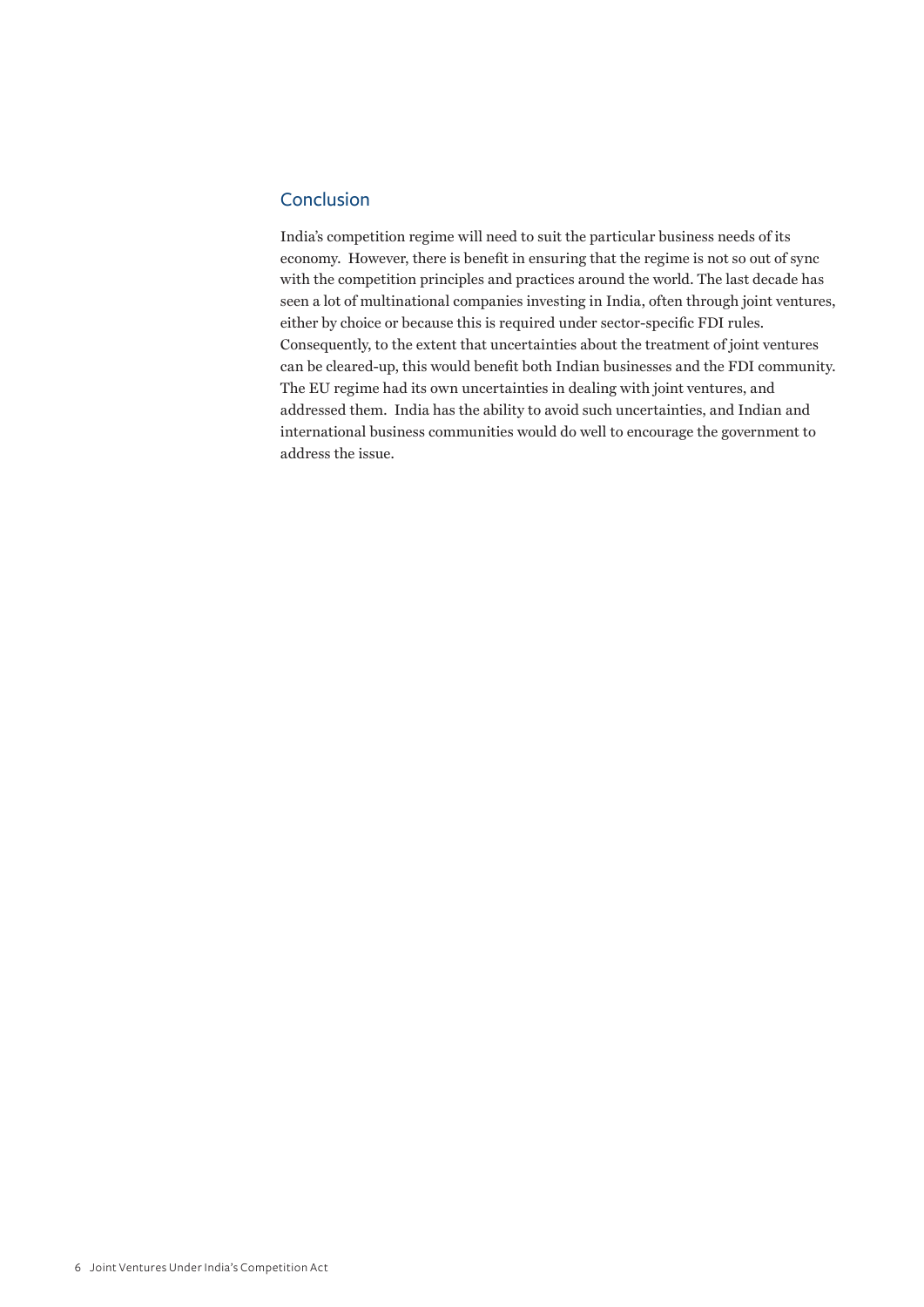### <span id="page-7-0"></span>Conclusion

India's competition regime will need to suit the particular business needs of its economy. However, there is benefit in ensuring that the regime is not so out of sync with the competition principles and practices around the world. The last decade has seen a lot of multinational companies investing in India, often through joint ventures, either by choice or because this is required under sector-specific FDI rules. Consequently, to the extent that uncertainties about the treatment of joint ventures can be cleared-up, this would benefit both Indian businesses and the FDI community. The EU regime had its own uncertainties in dealing with joint ventures, and addressed them. India has the ability to avoid such uncertainties, and Indian and international business communities would do well to encourage the government to address the issue.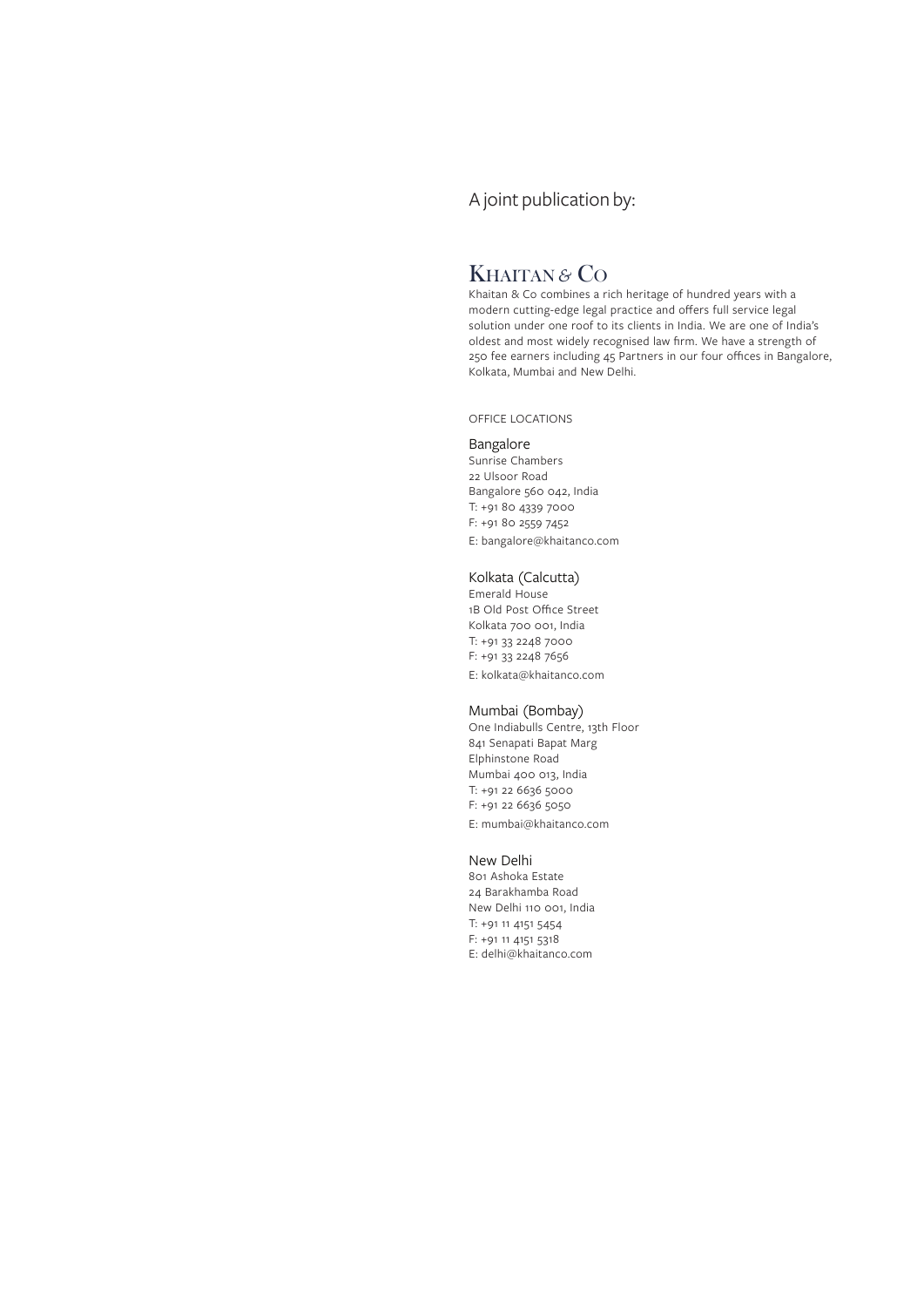## A joint publication by:

# KHAITAN *&* CO

Khaitan & Co combines a rich heritage of hundred years with a modern cutting-edge legal practice and offers full service legal solution under one roof to its clients in India. We are one of India's oldest and most widely recognised law firm. We have a strength of 250 fee earners including 45 Partners in our four offices in Bangalore, Kolkata, Mumbai and New Delhi.

office locations

#### Bangalore

Sunrise Chambers 22 Ulsoor Road Bangalore 560 042, India T: +91 80 4339 7000 F: +91 80 2559 7452 E: [bangalore@khaitanco.com](mailto:bangalore@khaitanco.com)

#### Kolkata (Calcutta)

Emerald House 1B Old Post Office Street Kolkata 700 001, India T: +91 33 2248 7000 F: +91 33 2248 7656 E: [kolkata@khaitanco.com](mailto:kolkata@khaitanco.com)

#### Mumbai (Bombay)

One Indiabulls Centre, 13th Floor 841 Senapati Bapat Marg Elphinstone Road Mumbai 400 013, India T: +91 22 6636 5000 F: +91 22 6636 5050 E: [mumbai@khaitanco.com](mailto:mumbai@khaitanco.com)

#### New Delhi

801 Ashoka Estate 24 Barakhamba Road New Delhi 110 001, India T: +91 11 4151 5454 F: +91 11 4151 5318 E: delhi@khaitanco.com